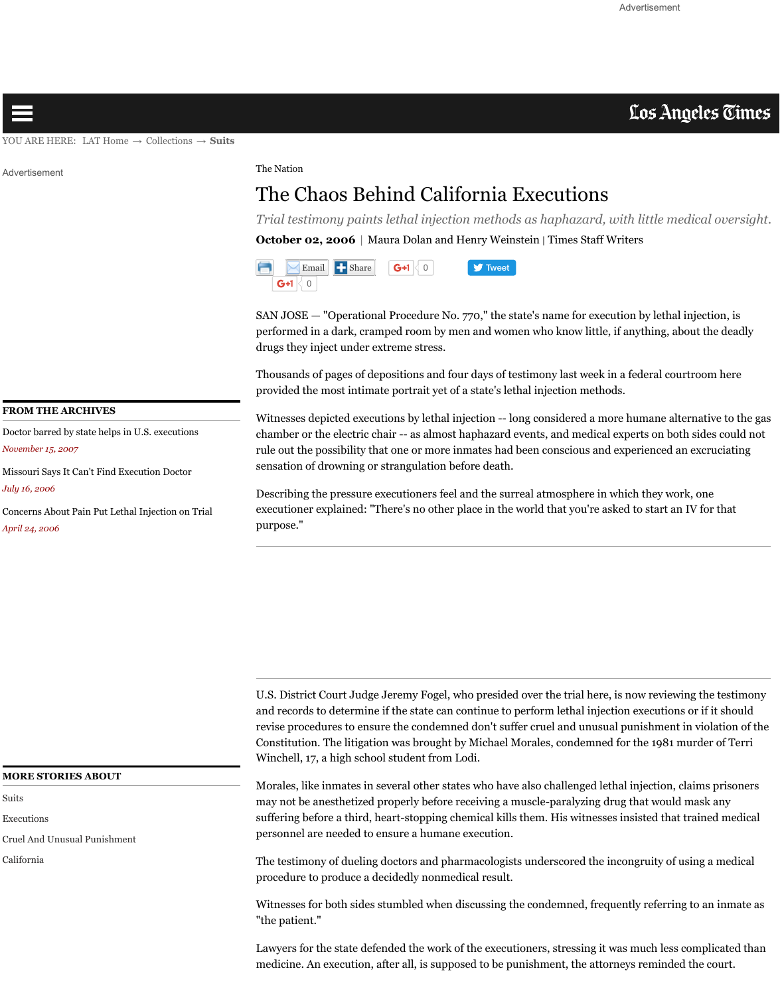#### **FROM THE ARCHIVES**

Doctor barred by state helps in U.S. executions *November 15, 2007*

[Missouri S](http://articles.latimes.com/2006/oct/02/local/me-execution2#)ays It Can't Find Execution Doctor *July 16, 2006*

Concerns About P[ain Put Leth](http://www.latimes.com/)al I[njection on T](http://articles.latimes.com/)ria[l](http://articles.latimes.com/keyword/suits) *April 24, 2006*

Thousands of pages of depositions and four day provided the most intimate portrait yet of a sta

Witnesses depicted executions by lethal injection chamber or the electric chair -- as almost hapha rule out the possibility that one or more inmate sensation of drowning or strangulation before

Describing the pressure executioners feel and the surrelation of the surrelation of the surface in  $\mathbb{R}^n$ executioner explained: "There's no other place purpose."

#### **MORE STORIES ABOUT**

[Suits](http://articles.latimes.com/2007/nov/15/nation/na-johndoe15)

Executions

[Cruel And Unusual Punishment](http://articles.latimes.com/2006/jul/16/nation/na-lethal16)

California

U.S. District Court Judge Jeremy Fogel, who pr and records to determine if the state can continue to perform and records to determine if the state can contin revise procedures to ensure the condemned do Constitution. The litigation was brought by Michael Morales, condensative for Morales, conden Winchell, 17, a high school student from Lodi.

Morales, like inmates in several other states who may not be anesthetized properly before receiving a may not be a mesthetized properly suffering before a third, heart-stopping chemic personnel are needed to ensure a humane execution.

The testimony of dueling doctors and pharmac procedure to produce a decidedly nonmedical  $r$ 

Witnesses for both sides stumbled when discus "the patient."

Lawyers for the state defended the work of the medicine. An execution, after all, is supposed to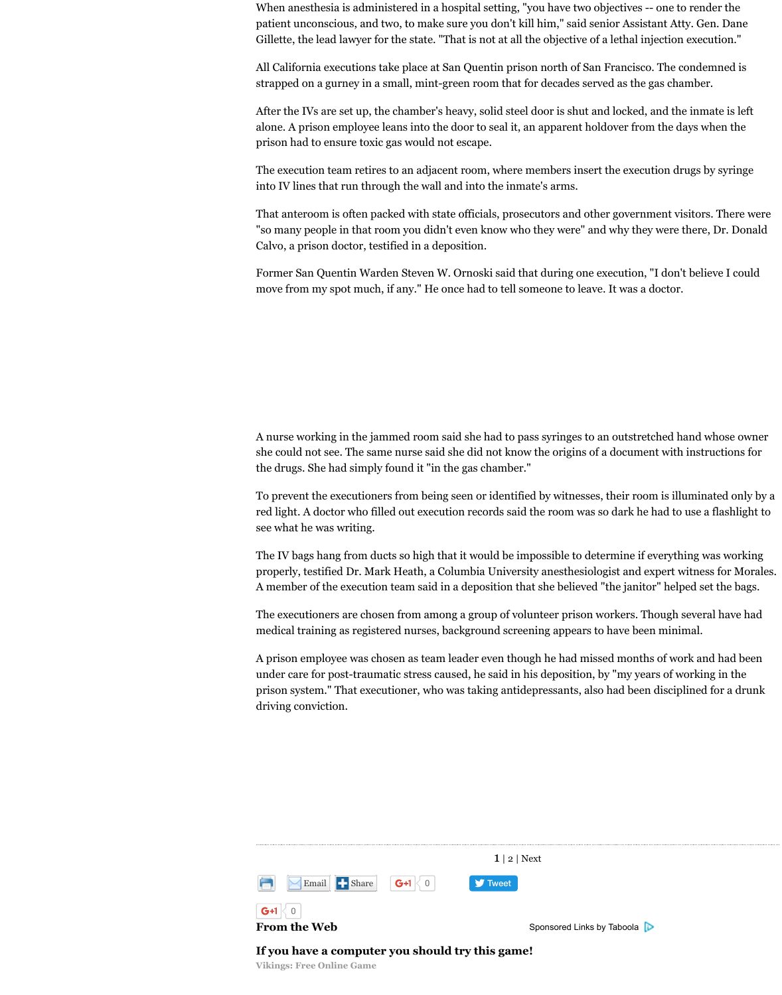A nurse working in the jammed room said she she could not see. The same nurse said she did the drugs. She had simply found it "in the gas chamber."

To prevent the executioners from being seen or red light. A doctor who filled out execution records and the room was so data to use a flagher to use a flagher see what he was writing.

The IV bags hang from ducts so high that it working properly, testified Dr. Mark Heath, a Columbia A member of the execution team said in a depo

The executioners are chosen from among a gro medical training as registered nurses, background scare

A prison employee was chosen as team leader  $\epsilon$ under care for post-traumatic stress caused, he prison system." That executioner, who was taking antidepressed for also had been discrepanced for a drunk  $\mu$ driving conviction.



## **From the Web**

If you have a computer you should try th

**Vikings: Free Online Game**